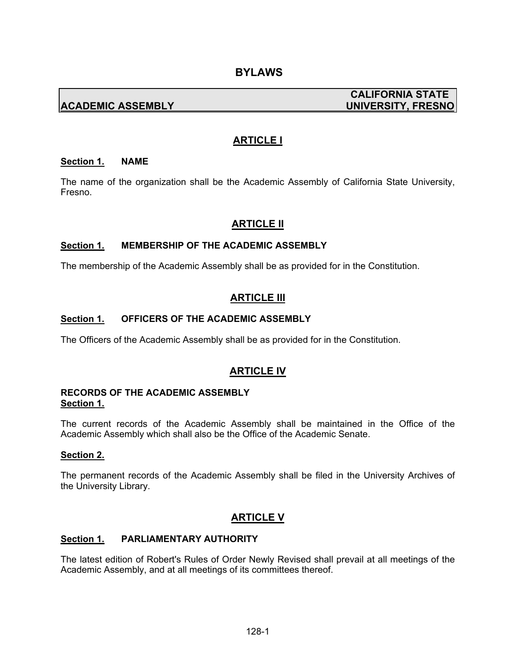# **ACADEMIC ASSEMBLY UNIVERSITY, FRESNO**

# **CALIFORNIA STATE**

# **ARTICLE I**

#### **Section 1. NAME**

The name of the organization shall be the Academic Assembly of California State University, Fresno.

## **ARTICLE II**

#### **Section 1. MEMBERSHIP OF THE ACADEMIC ASSEMBLY**

The membership of the Academic Assembly shall be as provided for in the Constitution.

## **ARTICLE III**

#### **Section 1. OFFICERS OF THE ACADEMIC ASSEMBLY**

The Officers of the Academic Assembly shall be as provided for in the Constitution.

## **ARTICLE IV**

#### **RECORDS OF THE ACADEMIC ASSEMBLY Section 1.**

The current records of the Academic Assembly shall be maintained in the Office of the Academic Assembly which shall also be the Office of the Academic Senate.

#### **Section 2.**

The permanent records of the Academic Assembly shall be filed in the University Archives of the University Library.

## **ARTICLE V**

#### **Section 1. PARLIAMENTARY AUTHORITY**

The latest edition of Robert's Rules of Order Newly Revised shall prevail at all meetings of the Academic Assembly, and at all meetings of its committees thereof.